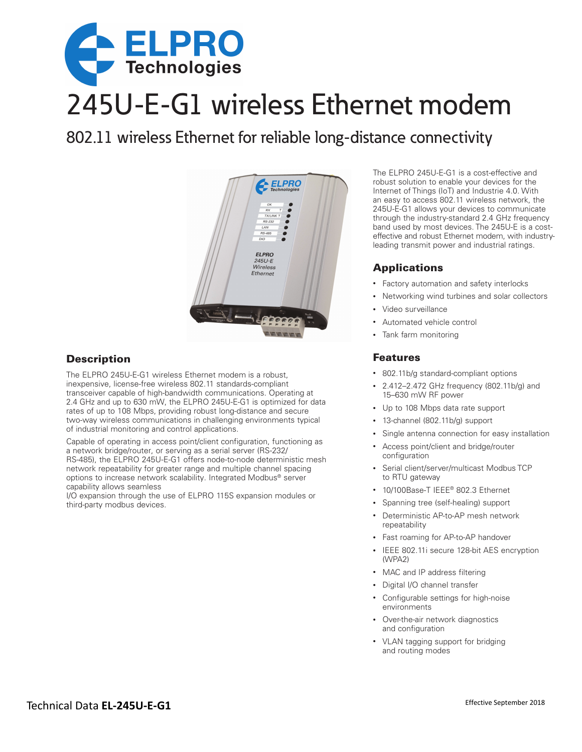

# 245U-E-G1 wireless Ethernet modem

802.11 wireless Ethernet for reliable long-distance connectivity



# **Description**

The ELPRO 245U-E-G1 wireless Ethernet modem is a robust, inexpensive, license-free wireless 802.11 standards-compliant transceiver capable of high-bandwidth communications. Operating at 2.4 GHz and up to 630 mW, the ELPRO 245U-E-G1 is optimized for data rates of up to 108 Mbps, providing robust long-distance and secure two-way wireless communications in challenging environments typical of industrial monitoring and control applications.

Capable of operating in access point/client configuration, functioning as a network bridge/router, or serving as a serial server (RS-232/ RS-485), the ELPRO 245U-E-G1 offers node-to-node deterministic mesh network repeatability for greater range and multiple channel spacing options to increase network scalability. Integrated Modbus® server capability allows seamless

I/O expansion through the use of ELPRO 115S expansion modules or third-party modbus devices.

The ELPRO 245U-E-G1 is a cost-effective and robust solution to enable your devices for the Internet of Things (IoT) and Industrie 4.0. With an easy to access 802.11 wireless network, the 245U-E-G1 allows your devices to communicate through the industry-standard 2.4 GHz frequency band used by most devices. The 245U-E is a costeffective and robust Ethernet modem, with industryleading transmit power and industrial ratings.

# Applications

- Factory automation and safety interlocks
- Networking wind turbines and solar collectors
- Video surveillance
- Automated vehicle control
- Tank farm monitoring

## Features

- 802.11b/g standard-compliant options
- 2.412–2.472 GHz frequency (802.11b/g) and 15–630 mW RF power
- Up to 108 Mbps data rate support
- 13-channel (802.11b/g) support
- Single antenna connection for easy installation
- Access point/client and bridge/router configuration
- Serial client/server/multicast Modbus TCP to RTU gateway
- 10/100Base-T IEEE® 802.3 Ethernet
- Spanning tree (self-healing) support
- Deterministic AP-to-AP mesh network repeatability
- Fast roaming for AP-to-AP handover
- IEEE 802.11i secure 128-bit AES encryption (WPA2)
- MAC and IP address filtering
- Digital I/O channel transfer
- Configurable settings for high-noise environments
- Over-the-air network diagnostics and configuration
- VLAN tagging support for bridging and routing modes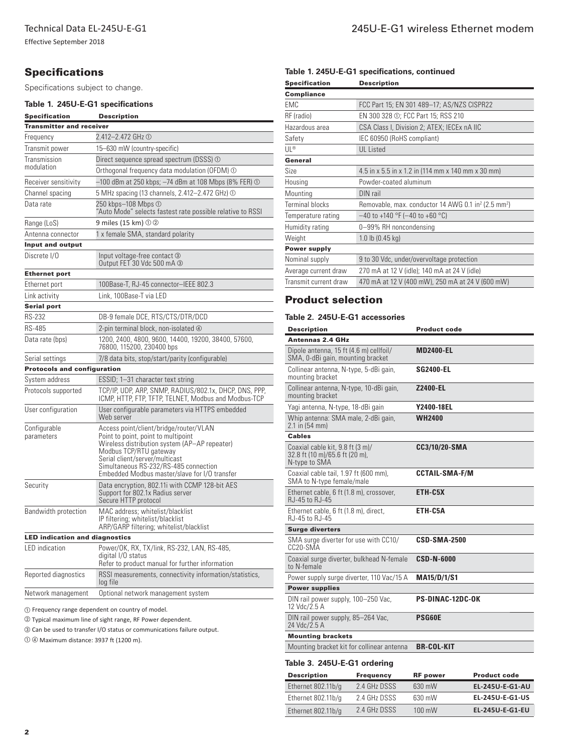Effective September 2018

# **Specifications**

Specifications subject to change.

### **Table 1. 245U-E-G1 specifications**

| <b>Specification</b>                  | <b>Description</b>                                                                                                                                                                                                                                                                   |  |  |  |  |
|---------------------------------------|--------------------------------------------------------------------------------------------------------------------------------------------------------------------------------------------------------------------------------------------------------------------------------------|--|--|--|--|
| <b>Transmitter and receiver</b>       |                                                                                                                                                                                                                                                                                      |  |  |  |  |
| Frequency                             | 2.412-2.472 GHz ①                                                                                                                                                                                                                                                                    |  |  |  |  |
| Transmit power                        | 15-630 mW (country-specific)                                                                                                                                                                                                                                                         |  |  |  |  |
| Transmission                          | Direct sequence spread spectrum (DSSS) ①                                                                                                                                                                                                                                             |  |  |  |  |
| modulation                            | Orthogonal frequency data modulation (OFDM) ①                                                                                                                                                                                                                                        |  |  |  |  |
| Receiver sensitivity                  | –100 dBm at 250 kbps; –74 dBm at 108 Mbps (8% FER) ①                                                                                                                                                                                                                                 |  |  |  |  |
| Channel spacing                       | 5 MHz spacing (13 channels, 2.412–2.472 GHz) ①                                                                                                                                                                                                                                       |  |  |  |  |
| Data rate                             | 250 kbps-108 Mbps 1<br>"Auto Mode" selects fastest rate possible relative to RSSI                                                                                                                                                                                                    |  |  |  |  |
| Range (LoS)                           | 9 miles (15 km) $\odot$ 2                                                                                                                                                                                                                                                            |  |  |  |  |
| Antenna connector                     | 1 x female SMA, standard polarity                                                                                                                                                                                                                                                    |  |  |  |  |
| <b>Input and output</b>               |                                                                                                                                                                                                                                                                                      |  |  |  |  |
| Discrete I/O                          | Input voltage-free contact ③<br>Output FET 30 Vdc 500 mA 3                                                                                                                                                                                                                           |  |  |  |  |
| <b>Ethernet port</b>                  |                                                                                                                                                                                                                                                                                      |  |  |  |  |
| Ethernet port                         | 100Base-T, RJ-45 connector-IEEE 802.3                                                                                                                                                                                                                                                |  |  |  |  |
| Link activity                         | Link, 100Base-T via LED                                                                                                                                                                                                                                                              |  |  |  |  |
| <b>Serial port</b>                    |                                                                                                                                                                                                                                                                                      |  |  |  |  |
| RS-232                                | DB-9 female DCE, RTS/CTS/DTR/DCD                                                                                                                                                                                                                                                     |  |  |  |  |
| RS-485                                | 2-pin terminal block, non-isolated $\Phi$                                                                                                                                                                                                                                            |  |  |  |  |
| Data rate (bps)                       | 1200, 2400, 4800, 9600, 14400, 19200, 38400, 57600,<br>76800, 115200, 230400 bps                                                                                                                                                                                                     |  |  |  |  |
| Serial settings                       | 7/8 data bits, stop/start/parity (configurable)                                                                                                                                                                                                                                      |  |  |  |  |
| <b>Protocols and configuration</b>    |                                                                                                                                                                                                                                                                                      |  |  |  |  |
| System address                        | ESSID; 1–31 character text string                                                                                                                                                                                                                                                    |  |  |  |  |
| Protocols supported                   | TCP/IP, UDP, ARP, SNMP, RADIUS/802.1x, DHCP, DNS, PPP,<br>ICMP, HTTP, FTP, TFTP, TELNET, Modbus and Modbus-TCP                                                                                                                                                                       |  |  |  |  |
| User configuration                    | User configurable parameters via HTTPS embedded<br>Web server                                                                                                                                                                                                                        |  |  |  |  |
| Configurable<br>parameters            | Access point/client/bridge/router/VLAN<br>Point to point, point to multipoint<br>Wireless distribution system (AP—AP repeater)<br>Modbus TCP/RTU gateway<br>Serial client/server/multicast<br>Simultaneous RS-232/RS-485 connection<br>Embedded Modbus master/slave for I/O transfer |  |  |  |  |
| Security                              | Data encryption, 802.11i with CCMP 128-bit AES<br>Support for 802.1x Radius server<br>Secure HTTP protocol                                                                                                                                                                           |  |  |  |  |
| Bandwidth protection                  | MAC address; whitelist/blacklist<br>IP filtering; whitelist/blacklist<br>ARP/GARP filtering; whitelist/blacklist                                                                                                                                                                     |  |  |  |  |
| <b>LED indication and diagnostics</b> |                                                                                                                                                                                                                                                                                      |  |  |  |  |
| <b>LED</b> indication                 | Power/OK, RX, TX/link, RS-232, LAN, RS-485,<br>digital I/O status<br>Refer to product manual for further information                                                                                                                                                                 |  |  |  |  |
| Reported diagnostics                  | RSSI measurements, connectivity information/statistics,<br>log file                                                                                                                                                                                                                  |  |  |  |  |
| Network management                    | Optional network management system                                                                                                                                                                                                                                                   |  |  |  |  |

� Frequency range dependent on country of model.

� Typical maximum line of sight range, RF Power dependent.

� Can be used to transfer I/O status or communications failure output.

� � Maximum distance: 3937 ft (1200 m).

#### **Table 1. 245U-E-G1 specifications, continued**

| <b>Specification</b>   | <b>Description</b>                                                          |  |  |
|------------------------|-----------------------------------------------------------------------------|--|--|
| <b>Compliance</b>      |                                                                             |  |  |
| <b>EMC</b>             | FCC Part 15; EN 301 489-17; AS/NZS CISPR22                                  |  |  |
| RF (radio)             | EN 300 328 ①; FCC Part 15; RSS 210                                          |  |  |
| Hazardous area         | CSA Class I, Division 2; ATEX; IECEx nA IIC                                 |  |  |
| Safety                 | IEC 60950 (RoHS compliant)                                                  |  |  |
| UL®                    | <b>UL</b> Listed                                                            |  |  |
| General                |                                                                             |  |  |
| Size                   | 4.5 in x 5.5 in x 1.2 in (114 mm x 140 mm x 30 mm)                          |  |  |
| Housing                | Powder-coated aluminum                                                      |  |  |
| Mounting               | DIN rail                                                                    |  |  |
| <b>Terminal blocks</b> | Removable, max. conductor 14 AWG 0.1 in <sup>2</sup> (2.5 mm <sup>2</sup> ) |  |  |
| Temperature rating     | $-40$ to +140 °F (-40 to +60 °C)                                            |  |  |
| Humidity rating        | 0-99% RH noncondensing                                                      |  |  |
| Weight                 | 1.0 lb $(0.45 \text{ kg})$                                                  |  |  |
| <b>Power supply</b>    |                                                                             |  |  |
| Nominal supply         | 9 to 30 Vdc, under/overvoltage protection                                   |  |  |
| Average current draw   | 270 mA at 12 V (idle); 140 mA at 24 V (idle)                                |  |  |
| Transmit current draw  | 470 mA at 12 V (400 mW), 250 mA at 24 V (600 mW)                            |  |  |
|                        |                                                                             |  |  |

# Product selection

#### **Table 2. 245U-E-G1 accessories**

| <b>Description</b>                                                                  | <b>Product code</b>     |  |  |  |
|-------------------------------------------------------------------------------------|-------------------------|--|--|--|
| <b>Antennas 2.4 GHz</b>                                                             |                         |  |  |  |
| Dipole antenna, 15 ft (4.6 m) cellfoil/<br>SMA, 0-dBi gain, mounting bracket        | <b>MD2400-EL</b>        |  |  |  |
| Collinear antenna, N-type, 5-dBi gain,<br>mounting bracket                          | <b>SG2400-EL</b>        |  |  |  |
| Collinear antenna, N-type, 10-dBi gain,<br>mounting bracket                         | <b>Z2400-EL</b>         |  |  |  |
| Yagi antenna, N-type, 18-dBi gain                                                   | Y2400-18EL              |  |  |  |
| Whip antenna: SMA male, 2-dBi gain,<br>2.1 in (54 mm)                               | <b>WH2400</b>           |  |  |  |
| <b>Cables</b>                                                                       |                         |  |  |  |
| Coaxial cable kit, 9.8 ft (3 m)/<br>32.8 ft (10 m)/65.6 ft (20 m),<br>N-type to SMA | CC3/10/20-SMA           |  |  |  |
| Coaxial cable tail, 1.97 ft (600 mm),<br>SMA to N-type female/male                  | <b>CCTAIL-SMA-F/M</b>   |  |  |  |
| Ethernet cable, 6 ft (1.8 m), crossover,<br>R.I-45 to R.I-45                        | ETH-C5X                 |  |  |  |
| Ethernet cable, 6 ft (1.8 m), direct,<br>RJ-45 to RJ-45                             | ETH-C5A                 |  |  |  |
| <b>Surge diverters</b>                                                              |                         |  |  |  |
| SMA surge diverter for use with CC10/<br>CC20-SMA                                   | <b>CSD-SMA-2500</b>     |  |  |  |
| Coaxial surge diverter, bulkhead N-female<br>to N-female                            | <b>CSD-N-6000</b>       |  |  |  |
| Power supply surge diverter, 110 Vac/15 A                                           | <b>MA15/D/1/S1</b>      |  |  |  |
| <b>Power supplies</b>                                                               |                         |  |  |  |
| DIN rail power supply, 100-250 Vac,<br>12 Vdc/2.5 A                                 | <b>PS-DINAC-12DC-OK</b> |  |  |  |
| DIN rail power supply, 85–264 Vac,<br>24 Vdc/2.5 A                                  | <b>PSG60E</b>           |  |  |  |
| <b>Mounting brackets</b>                                                            |                         |  |  |  |
| Mounting bracket kit for collinear antenna                                          | <b>BR-COL-KIT</b>       |  |  |  |
|                                                                                     |                         |  |  |  |

#### **Table 3. 245U-E-G1 ordering**

| <b>Description</b> | <b>Frequency</b> | <b>RF</b> power  | <b>Product code</b>    |
|--------------------|------------------|------------------|------------------------|
| Ethernet 802.11b/g | 2.4 GHz DSSS     | 630 mW           | <b>EL-245U-E-G1-AU</b> |
| Ethernet 802.11b/g | 2.4 GHz DSSS     | 630 mW           | EL-245U-E-G1-US        |
| Ethernet 802.11b/g | 2.4 GHz DSSS     | $100 \text{ mW}$ | <b>EL-245U-E-G1-EU</b> |